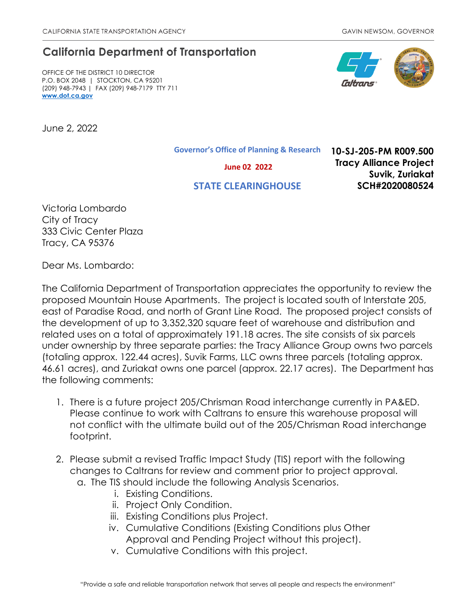## **California Department of Transportation**

OFFICE OF THE DISTRICT 10 DIRECTOR P.O. BOX 2048 | STOCKTON, CA 95201 (209) 948-7943 | FAX (209) 948-7179 TTY 711 **[www.dot.ca.gov](http://www.dot.ca.gov/)**

June 2, 2022

**Governor's Office of Planning & Research**

 **June 02 2022**

## **STATE CLEARINGHOUSE**

**10-SJ-205-PM R009.500 Tracy Alliance Project Suvik, Zuriakat SCH#2020080524**

Victoria Lombardo City of Tracy 333 Civic Center Plaza Tracy, CA 95376

Dear Ms. Lombardo:

The California Department of Transportation appreciates the opportunity to review the proposed Mountain House Apartments. The project is located south of Interstate 205, east of Paradise Road, and north of Grant Line Road. The proposed project consists of the development of up to 3,352,320 square feet of warehouse and distribution and related uses on a total of approximately 191.18 acres. The site consists of six parcels under ownership by three separate parties: the Tracy Alliance Group owns two parcels (totaling approx. 122.44 acres), Suvik Farms, LLC owns three parcels (totaling approx. 46.61 acres), and Zuriakat owns one parcel (approx. 22.17 acres). The Department has the following comments:

- 1. There is a future project 205/Chrisman Road interchange currently in PA&ED. Please continue to work with Caltrans to ensure this warehouse proposal will not conflict with the ultimate build out of the 205/Chrisman Road interchange footprint.
- 2. Please submit a revised Traffic Impact Study (TIS) report with the following changes to Caltrans for review and comment prior to project approval. a. The TIS should include the following Analysis Scenarios.
	- i. Existing Conditions.
	- ii. Project Only Condition.
	- iii. Existing Conditions plus Project.
	- iv. Cumulative Conditions (Existing Conditions plus Other Approval and Pending Project without this project).
	- v. Cumulative Conditions with this project.

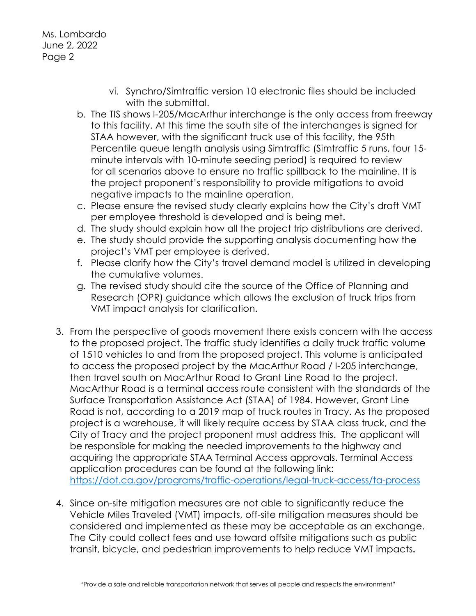## Ms. Lombardo June 2, 2022 Page 2

- vi. Synchro/Simtraffic version 10 electronic files should be included with the submittal.
- b. The TIS shows I-205/MacArthur interchange is the only access from freeway to this facility. At this time the south site of the interchanges is signed for STAA however, with the significant truck use of this facility, the 95th Percentile queue length analysis using Simtraffic (Simtraffic 5 runs, four 15 minute intervals with 10-minute seeding period) is required to review for all scenarios above to ensure no traffic spillback to the mainline. It is the project proponent's responsibility to provide mitigations to avoid negative impacts to the mainline operation.
- c. Please ensure the revised study clearly explains how the City's draft VMT per employee threshold is developed and is being met.
- d. The study should explain how all the project trip distributions are derived.
- e. The study should provide the supporting analysis documenting how the project's VMT per employee is derived.
- f. Please clarify how the City's travel demand model is utilized in developing the cumulative volumes.
- g. The revised study should cite the source of the Office of Planning and Research (OPR) guidance which allows the exclusion of truck trips from VMT impact analysis for clarification.
- 3. From the perspective of goods movement there exists concern with the access to the proposed project. The traffic study identifies a daily truck traffic volume of 1510 vehicles to and from the proposed project. This volume is anticipated to access the proposed project by the MacArthur Road / I-205 interchange, then travel south on MacArthur Road to Grant Line Road to the project. MacArthur Road is a terminal access route consistent with the standards of the Surface Transportation Assistance Act (STAA) of 1984. However, Grant Line Road is not, according to a 2019 map of truck routes in Tracy. As the proposed project is a warehouse, it will likely require access by STAA class truck, and the City of Tracy and the project proponent must address this. The applicant will be responsible for making the needed improvements to the highway and acquiring the appropriate STAA Terminal Access approvals. Terminal Access application procedures can be found at the following link: <https://dot.ca.gov/programs/traffic-operations/legal-truck-access/ta-process>
- 4. Since on-site mitigation measures are not able to significantly reduce the Vehicle Miles Traveled (VMT) impacts, off-site mitigation measures should be considered and implemented as these may be acceptable as an exchange. The City could collect fees and use toward offsite mitigations such as public transit, bicycle, and pedestrian improvements to help reduce VMT impacts**.**